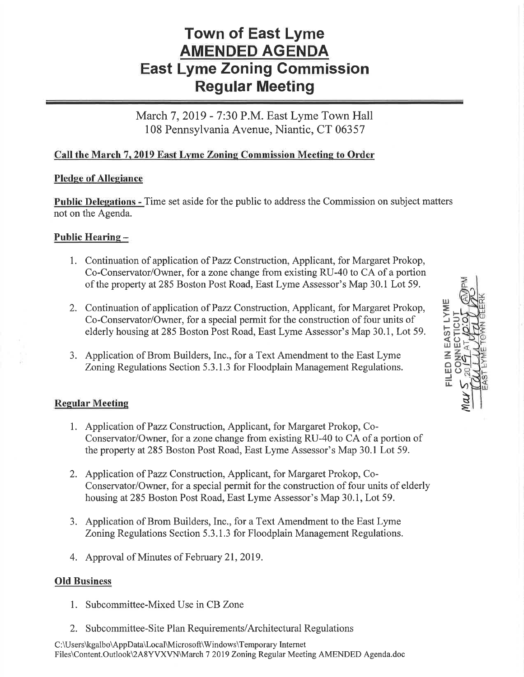# Town of East Lyme AMENDED AGENDA East Lyme Zoning Gommission Regular Meeting

March 7, 2019 - 7:30 P.M. East Lyme Town Hall 108 Pennsylvania Avenue, Niantic, CT 06357

## Call the March 7, 2019 East Lyme Zoning Commission Meeting to Order

#### Pledge of Allegiance

Public Delegations - Time set aside for the public to address the Commission on subject matters not on the Agenda.

## Public Hearing -

- 1. Continuation of application of Pazz Construction, Applicant, for Margaret Prokop, Co-Conservator/Owner, for a zone change from existing RU-40 to CA of a portion of the property at285 Boston Post Road, East Lyme Assessor's Map 30.1 Lot 59.
- 2. Continuation of application of Pazz Construction, Applicant, for Margaret Prokop, Co-Conservator/Owner, for a special permit for the construction of four units of elderly housing at285 Boston Post Road, East Lyme Assessor's Map 30.1, Lot 59.
- 3. Application of Brom Builders, Inc., for a Text Amendment to the East Lyme Zoning Regulations Section 5.3. 1 .3 for Floodplain Management Regulations.

## Regular Meeting

- 1. Application of Pazz Construction, Applicant, for Margaret Prokop, Co-Conservator/Owner, for azone change from existing RU-40 to CA of a portion of the property at285 Boston Post Road, East Lyme Assessor's Map 30.1 Lot 59.
- 2. Application of Pazz Construction, Applicant, for Margaret Prokop, Co-Conservator/Owner, for a special permit for the construction of four units of elderly housing at285 Boston Post Road, East Lyme Assessor's Map 30.1, Lot 59.
- 3. Application of Brom Builders, Inc., for a Text Amendment to the East Lyme Zoning Regulations Section 5.3. 1 .3 for Floodplain Management Regulations.
- 4. Approval of Minutes of February 2I,2019.

#### Old Business

- 1. Subcommittee-Mixed Use in CB Zone
- 2. Subcommittee-Site Plan Requirements/Architectural Regulations